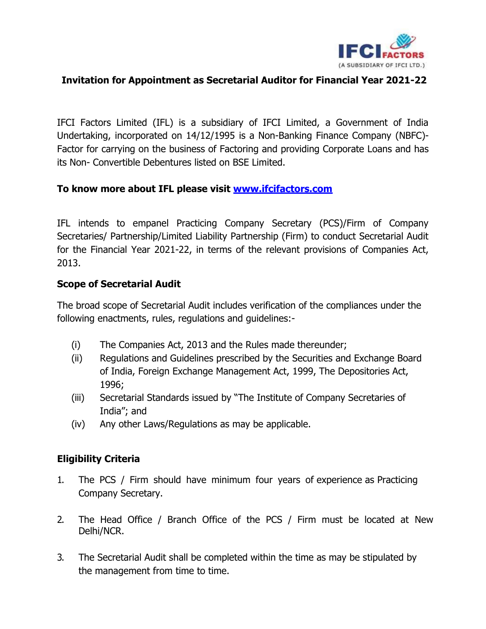

## **Invitation for Appointment as Secretarial Auditor for Financial Year 2021-22**

IFCI Factors Limited (IFL) is a subsidiary of IFCI Limited, a Government of India Undertaking, incorporated on 14/12/1995 is a Non-Banking Finance Company (NBFC)- Factor for carrying on the business of Factoring and providing Corporate Loans and has its Non- Convertible Debentures listed on BSE Limited.

## **To know more about IFL please visit [www.ifcifactors.com](http://www.ifcifactors.com/)**

IFL intends to empanel Practicing Company Secretary (PCS)/Firm of Company Secretaries/ Partnership/Limited Liability Partnership (Firm) to conduct Secretarial Audit for the Financial Year 2021-22, in terms of the relevant provisions of Companies Act, 2013.

## **Scope of Secretarial Audit**

The broad scope of Secretarial Audit includes verification of the compliances under the following enactments, rules, regulations and guidelines:-

- (i) The Companies Act, 2013 and the Rules made thereunder;
- (ii) Regulations and Guidelines prescribed by the Securities and Exchange Board of India, Foreign Exchange Management Act, 1999, The Depositories Act, 1996;
- (iii) Secretarial Standards issued by "The Institute of Company Secretaries of India"; and
- (iv) Any other Laws/Regulations as may be applicable.

## **Eligibility Criteria**

- 1. The PCS / Firm should have minimum four years of experience as Practicing Company Secretary.
- 2. The Head Office / Branch Office of the PCS / Firm must be located at New Delhi/NCR.
- 3. The Secretarial Audit shall be completed within the time as may be stipulated by the management from time to time.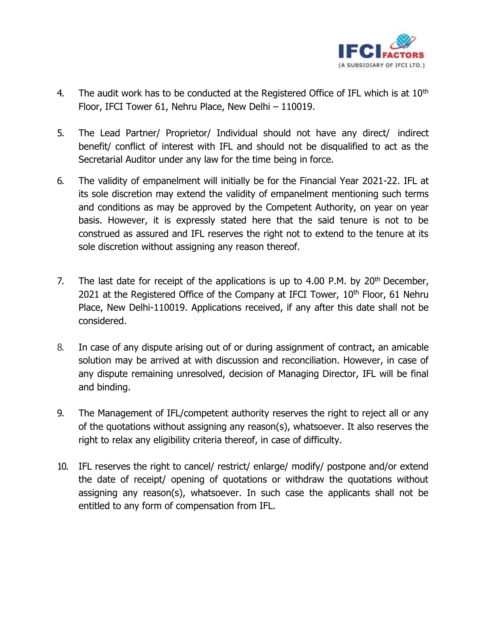

- 4. The audit work has to be conducted at the Registered Office of IFL which is at  $10<sup>th</sup>$ Floor, IFCI Tower 61, Nehru Place, New Delhi – 110019.
- 5. The Lead Partner/ Proprietor/ Individual should not have any direct/ indirect benefit/ conflict of interest with IFL and should not be disqualified to act as the Secretarial Auditor under any law for the time being in force.
- 6. The validity of empanelment will initially be for the Financial Year 2021-22. IFL at its sole discretion may extend the validity of empanelment mentioning such terms and conditions as may be approved by the Competent Authority, on year on year basis. However, it is expressly stated here that the said tenure is not to be construed as assured and IFL reserves the right not to extend to the tenure at its sole discretion without assigning any reason thereof.
- 7. The last date for receipt of the applications is up to 4.00 P.M. by  $20<sup>th</sup>$  December, 2021 at the Registered Office of the Company at IFCI Tower,  $10<sup>th</sup>$  Floor, 61 Nehru Place, New Delhi-110019. Applications received, if any after this date shall not be considered.
- 8. In case of any dispute arising out of or during assignment of contract, an amicable solution may be arrived at with discussion and reconciliation. However, in case of any dispute remaining unresolved, decision of Managing Director, IFL will be final and binding.
- 9. The Management of IFL/competent authority reserves the right to reject all or any of the quotations without assigning any reason(s), whatsoever. It also reserves the right to relax any eligibility criteria thereof, in case of difficulty.
- 10. IFL reserves the right to cancel/ restrict/ enlarge/ modify/ postpone and/or extend the date of receipt/ opening of quotations or withdraw the quotations without assigning any reason(s), whatsoever. In such case the applicants shall not be entitled to any form of compensation from IFL.